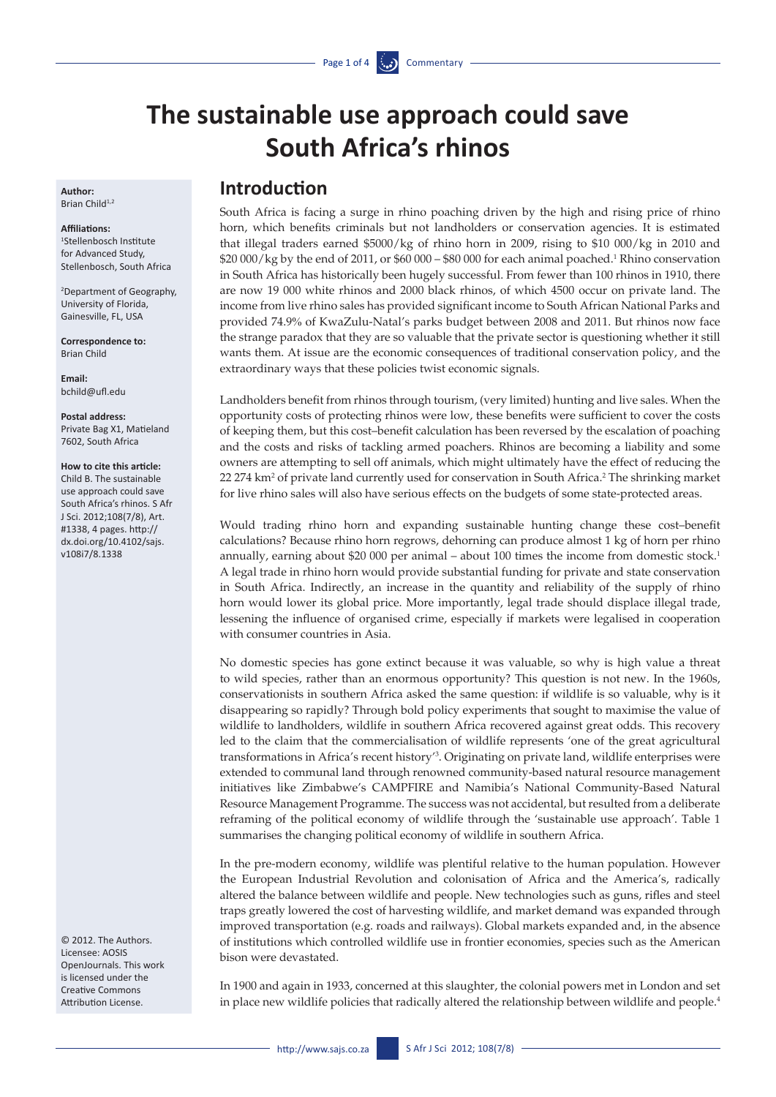# **The sustainable use approach could save South Africa's rhinos**

**Author:**  Brian Child $1,2$ 

#### **Affiliations:**

1 Stellenbosch Institute for Advanced Study, Stellenbosch, South Africa

2 Department of Geography, University of Florida, Gainesville, FL, USA

**Correspondence to:**  Brian Child

**Email:**  [bchild@ufl.edu](mailto:bchild@ufl.edu)

**Postal address:**  Private Bag X1, Matieland 7602, South Africa

#### **How to cite this article:**

Child B. The sustainable use approach could save South Africa's rhinos. S Afr J Sci. 2012;108(7/8), Art. #1338, 4 pages. [http://](http://dx.doi.org/10.4102/sajs.v108i7/8.1338) [dx.doi.org/10.4102/sajs.](http://dx.doi.org/10.4102/sajs.v108i7/8.1338) [v108i7/8.1338](http://dx.doi.org/10.4102/sajs.v108i7/8.1338)

© 2012. The Authors. Licensee: AOSIS OpenJournals. This work is licensed under the Creative Commons Attribution License.

### **Introduction**

South Africa is facing a surge in rhino poaching driven by the high and rising price of rhino horn, which benefits criminals but not landholders or conservation agencies. It is estimated that illegal traders earned \$5000/kg of rhino horn in 2009, rising to \$10 000/kg in 2010 and  $\$20\,000/\mathrm{kg}$  by the end of 2011, or  $\$60\,000$  –  $\$80\,000$  for each animal poached. $^1$  Rhino conservation in South Africa has historically been hugely successful. From fewer than 100 rhinos in 1910, there are now 19 000 white rhinos and 2000 black rhinos, of which 4500 occur on private land. The income from live rhino sales has provided significant income to South African National Parks and provided 74.9% of KwaZulu-Natal's parks budget between 2008 and 2011. But rhinos now face the strange paradox that they are so valuable that the private sector is questioning whether it still wants them. At issue are the economic consequences of traditional conservation policy, and the extraordinary ways that these policies twist economic signals.

Landholders benefit from rhinos through tourism, (very limited) hunting and live sales. When the opportunity costs of protecting rhinos were low, these benefits were sufficient to cover the costs of keeping them, but this cost–benefit calculation has been reversed by the escalation of poaching and the costs and risks of tackling armed poachers. Rhinos are becoming a liability and some owners are attempting to sell off animals, which might ultimately have the effect of reducing the 22 274 km<sup>2</sup> of private land currently used for conservation in South Africa.<sup>2</sup> The shrinking market for live rhino sales will also have serious effects on the budgets of some state-protected areas.

Would trading rhino horn and expanding sustainable hunting change these cost–benefit calculations? Because rhino horn regrows, dehorning can produce almost 1 kg of horn per rhino annually, earning about \$20 000 per animal – about 100 times the income from domestic stock.<sup>1</sup> A legal trade in rhino horn would provide substantial funding for private and state conservation in South Africa. Indirectly, an increase in the quantity and reliability of the supply of rhino horn would lower its global price. More importantly, legal trade should displace illegal trade, lessening the influence of organised crime, especially if markets were legalised in cooperation with consumer countries in Asia.

No domestic species has gone extinct because it was valuable, so why is high value a threat to wild species, rather than an enormous opportunity? This question is not new. In the 1960s, conservationists in southern Africa asked the same question: if wildlife is so valuable, why is it disappearing so rapidly? Through bold policy experiments that sought to maximise the value of wildlife to landholders, wildlife in southern Africa recovered against great odds. This recovery led to the claim that the commercialisation of wildlife represents 'one of the great agricultural transformations in Africa's recent history'3 . Originating on private land, wildlife enterprises were extended to communal land through renowned community-based natural resource management initiatives like Zimbabwe's CAMPFIRE and Namibia's National Community-Based Natural Resource Management Programme. The success was not accidental, but resulted from a deliberate reframing of the political economy of wildlife through the 'sustainable use approach'. Table 1 summarises the changing political economy of wildlife in southern Africa.

In the pre-modern economy, wildlife was plentiful relative to the human population. However the European Industrial Revolution and colonisation of Africa and the America's, radically altered the balance between wildlife and people. New technologies such as guns, rifles and steel traps greatly lowered the cost of harvesting wildlife, and market demand was expanded through improved transportation (e.g. roads and railways). Global markets expanded and, in the absence of institutions which controlled wildlife use in frontier economies, species such as the American bison were devastated.

In 1900 and again in 1933, concerned at this slaughter, the colonial powers met in London and set in place new wildlife policies that radically altered the relationship between wildlife and people.<sup>4</sup>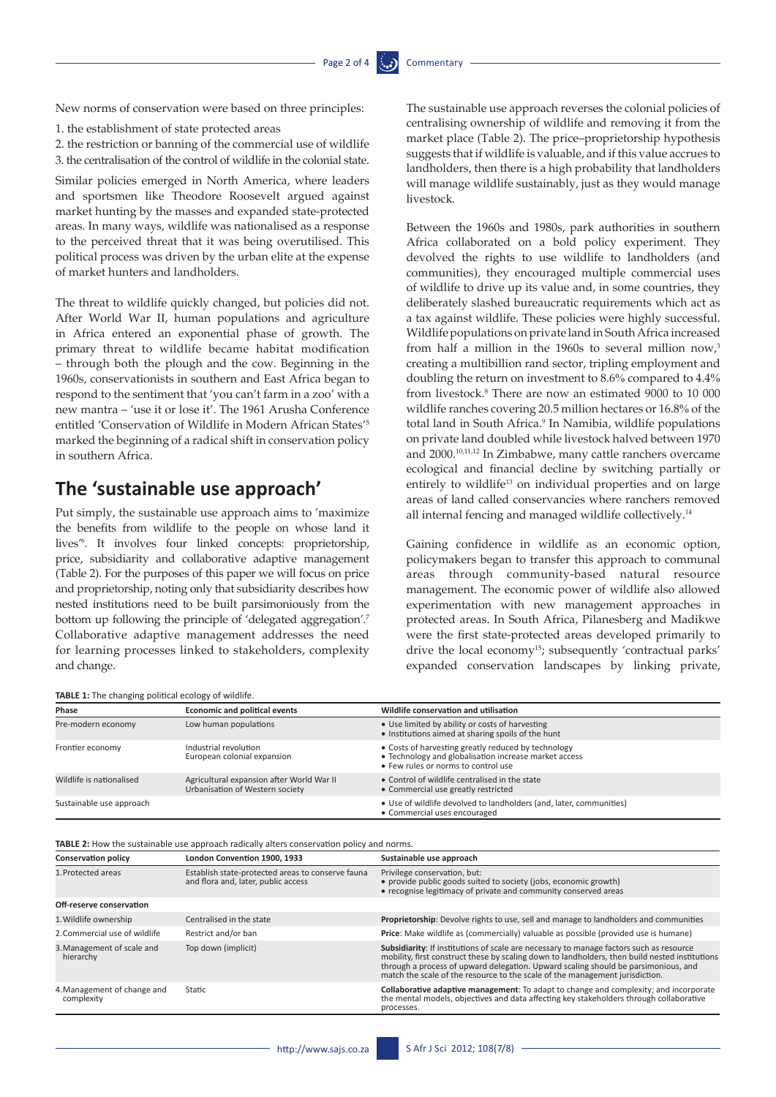New norms of conservation were based on three principles:

- 1. the establishment of state protected areas
- 2. the restriction or banning of the commercial use of wildlife 3. the centralisation of the control of wildlife in the colonial state.

Similar policies emerged in North America, where leaders and sportsmen like Theodore Roosevelt argued against market hunting by the masses and expanded state-protected areas. In many ways, wildlife was nationalised as a response to the perceived threat that it was being overutilised. This political process was driven by the urban elite at the expense of market hunters and landholders.

The threat to wildlife quickly changed, but policies did not. After World War II, human populations and agriculture in Africa entered an exponential phase of growth. The primary threat to wildlife became habitat modification – through both the plough and the cow. Beginning in the 1960s, conservationists in southern and East Africa began to respond to the sentiment that 'you can't farm in a zoo' with a new mantra – 'use it or lose it'. The 1961 Arusha Conference entitled 'Conservation of Wildlife in Modern African States'5 marked the beginning of a radical shift in conservation policy in southern Africa.

### **The 'sustainable use approach'**

Put simply, the sustainable use approach aims to 'maximize the benefits from wildlife to the people on whose land it lives'6 . It involves four linked concepts: proprietorship, price, subsidiarity and collaborative adaptive management (Table 2). For the purposes of this paper we will focus on price and proprietorship, noting only that subsidiarity describes how nested institutions need to be built parsimoniously from the bottom up following the principle of 'delegated aggregation'.7 Collaborative adaptive management addresses the need for learning processes linked to stakeholders, complexity and change.

#### **TABLE 1:** The changing political ecology of wildlife.

The sustainable use approach reverses the colonial policies of centralising ownership of wildlife and removing it from the market place (Table 2). The price–proprietorship hypothesis suggests that if wildlife is valuable, and if this value accrues to landholders, then there is a high probability that landholders will manage wildlife sustainably, just as they would manage livestock.

Between the 1960s and 1980s, park authorities in southern Africa collaborated on a bold policy experiment. They devolved the rights to use wildlife to landholders (and communities), they encouraged multiple commercial uses of wildlife to drive up its value and, in some countries, they deliberately slashed bureaucratic requirements which act as a tax against wildlife. These policies were highly successful. Wildlife populations on private land in South Africa increased from half a million in the 1960s to several million now,<sup>3</sup> creating a multibillion rand sector, tripling employment and doubling the return on investment to 8.6% compared to 4.4% from livestock.8 There are now an estimated 9000 to 10 000 wildlife ranches covering 20.5 million hectares or 16.8% of the total land in South Africa.<sup>9</sup> In Namibia, wildlife populations on private land doubled while livestock halved between 1970 and 2000.10,11,12 In Zimbabwe, many cattle ranchers overcame ecological and financial decline by switching partially or entirely to wildlife<sup>13</sup> on individual properties and on large areas of land called conservancies where ranchers removed all internal fencing and managed wildlife collectively.14

Gaining confidence in wildlife as an economic option, policymakers began to transfer this approach to communal areas through community-based natural resource management. The economic power of wildlife also allowed experimentation with new management approaches in protected areas. In South Africa, Pilanesberg and Madikwe were the first state-protected areas developed primarily to drive the local economy<sup>15</sup>; subsequently 'contractual parks' expanded conservation landscapes by linking private,

| <b>TABLE 1:</b> The changing political ecology of wildlife. |                                                                              |                                                                                                                                                     |  |  |
|-------------------------------------------------------------|------------------------------------------------------------------------------|-----------------------------------------------------------------------------------------------------------------------------------------------------|--|--|
| Phase                                                       | <b>Economic and political events</b>                                         | Wildlife conservation and utilisation                                                                                                               |  |  |
| Pre-modern economy                                          | Low human populations                                                        | • Use limited by ability or costs of harvesting<br>• Institutions aimed at sharing spoils of the hunt                                               |  |  |
| Frontier economy                                            | Industrial revolution<br>European colonial expansion                         | • Costs of harvesting greatly reduced by technology<br>• Technology and globalisation increase market access<br>• Few rules or norms to control use |  |  |
| Wildlife is nationalised                                    | Agricultural expansion after World War II<br>Urbanisation of Western society | • Control of wildlife centralised in the state<br>• Commercial use greatly restricted                                                               |  |  |
| Sustainable use approach                                    |                                                                              | • Use of wildlife devolved to landholders (and, later, communities)<br>• Commercial uses encouraged                                                 |  |  |

**TABLE 2:** How the sustainable use approach radically alters conservation policy and norms.

| <b>Conservation policy</b>                | London Convention 1900, 1933                                                             | Sustainable use approach                                                                                                                                                                                                                                                                                                                                        |
|-------------------------------------------|------------------------------------------------------------------------------------------|-----------------------------------------------------------------------------------------------------------------------------------------------------------------------------------------------------------------------------------------------------------------------------------------------------------------------------------------------------------------|
| 1. Protected areas                        | Establish state-protected areas to conserve fauna<br>and flora and, later, public access | Privilege conservation, but:<br>• provide public goods suited to society (jobs, economic growth)<br>• recognise legitimacy of private and community conserved areas                                                                                                                                                                                             |
| Off-reserve conservation                  |                                                                                          |                                                                                                                                                                                                                                                                                                                                                                 |
| 1. Wildlife ownership                     | Centralised in the state                                                                 | Proprietorship: Devolve rights to use, sell and manage to landholders and communities                                                                                                                                                                                                                                                                           |
| 2. Commercial use of wildlife             | Restrict and/or ban                                                                      | <b>Price:</b> Make wildlife as (commercially) valuable as possible (provided use is humane)                                                                                                                                                                                                                                                                     |
| 3. Management of scale and<br>hierarchy   | Top down (implicit)                                                                      | Subsidiarity: If institutions of scale are necessary to manage factors such as resource<br>mobility, first construct these by scaling down to landholders, then build nested institutions<br>through a process of upward delegation. Upward scaling should be parsimonious, and<br>match the scale of the resource to the scale of the management jurisdiction. |
| 4. Management of change and<br>complexity | Static                                                                                   | <b>Collaborative adaptive management:</b> To adapt to change and complexity; and incorporate<br>the mental models, objectives and data affecting key stakeholders through collaborative<br>processes.                                                                                                                                                           |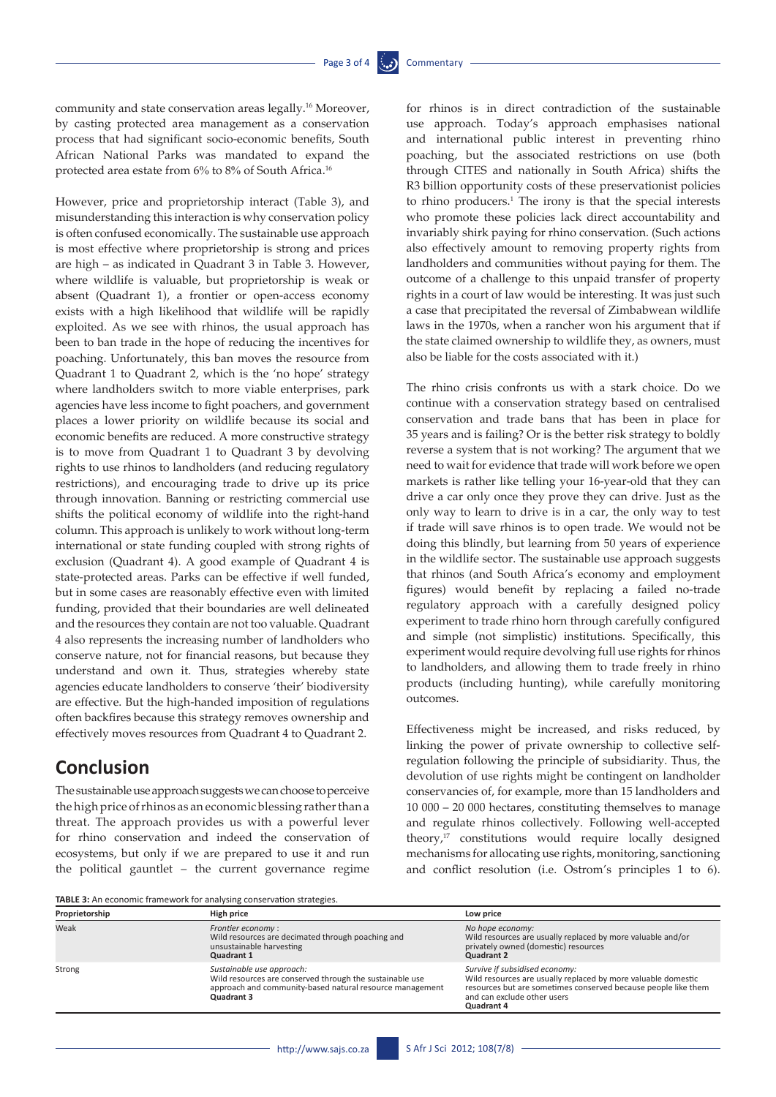community and state conservation areas legally.16 Moreover, by casting protected area management as a conservation process that had significant socio-economic benefits, South African National Parks was mandated to expand the protected area estate from 6% to 8% of South Africa.16

However, price and proprietorship interact (Table 3), and misunderstanding this interaction is why conservation policy is often confused economically. The sustainable use approach is most effective where proprietorship is strong and prices are high – as indicated in Quadrant 3 in Table 3. However, where wildlife is valuable, but proprietorship is weak or absent (Quadrant 1), a frontier or open-access economy exists with a high likelihood that wildlife will be rapidly exploited. As we see with rhinos, the usual approach has been to ban trade in the hope of reducing the incentives for poaching. Unfortunately, this ban moves the resource from Quadrant 1 to Quadrant 2, which is the 'no hope' strategy where landholders switch to more viable enterprises, park agencies have less income to fight poachers, and government places a lower priority on wildlife because its social and economic benefits are reduced. A more constructive strategy is to move from Quadrant 1 to Quadrant 3 by devolving rights to use rhinos to landholders (and reducing regulatory restrictions), and encouraging trade to drive up its price through innovation. Banning or restricting commercial use shifts the political economy of wildlife into the right-hand column. This approach is unlikely to work without long-term international or state funding coupled with strong rights of exclusion (Quadrant 4). A good example of Quadrant 4 is state-protected areas. Parks can be effective if well funded, but in some cases are reasonably effective even with limited funding, provided that their boundaries are well delineated and the resources they contain are not too valuable. Quadrant 4 also represents the increasing number of landholders who conserve nature, not for financial reasons, but because they understand and own it. Thus, strategies whereby state agencies educate landholders to conserve 'their' biodiversity are effective. But the high-handed imposition of regulations often backfires because this strategy removes ownership and effectively moves resources from Quadrant 4 to Quadrant 2.

## **Conclusion**

The sustainable use approach suggests we can choose to perceive the high price of rhinos as an economic blessing rather than a threat. The approach provides us with a powerful lever for rhino conservation and indeed the conservation of ecosystems, but only if we are prepared to use it and run the political gauntlet – the current governance regime

for rhinos is in direct contradiction of the sustainable use approach. Today's approach emphasises national and international public interest in preventing rhino poaching, but the associated restrictions on use (both through CITES and nationally in South Africa) shifts the R3 billion opportunity costs of these preservationist policies to rhino producers.<sup>1</sup> The irony is that the special interests who promote these policies lack direct accountability and invariably shirk paying for rhino conservation. (Such actions also effectively amount to removing property rights from landholders and communities without paying for them. The outcome of a challenge to this unpaid transfer of property rights in a court of law would be interesting. It was just such a case that precipitated the reversal of Zimbabwean wildlife laws in the 1970s, when a rancher won his argument that if the state claimed ownership to wildlife they, as owners, must also be liable for the costs associated with it.)

The rhino crisis confronts us with a stark choice. Do we continue with a conservation strategy based on centralised conservation and trade bans that has been in place for 35 years and is failing? Or is the better risk strategy to boldly reverse a system that is not working? The argument that we need to wait for evidence that trade will work before we open markets is rather like telling your 16-year-old that they can drive a car only once they prove they can drive. Just as the only way to learn to drive is in a car, the only way to test if trade will save rhinos is to open trade. We would not be doing this blindly, but learning from 50 years of experience in the wildlife sector. The sustainable use approach suggests that rhinos (and South Africa's economy and employment figures) would benefit by replacing a failed no-trade regulatory approach with a carefully designed policy experiment to trade rhino horn through carefully configured and simple (not simplistic) institutions. Specifically, this experiment would require devolving full use rights for rhinos to landholders, and allowing them to trade freely in rhino products (including hunting), while carefully monitoring outcomes.

Effectiveness might be increased, and risks reduced, by linking the power of private ownership to collective selfregulation following the principle of subsidiarity. Thus, the devolution of use rights might be contingent on landholder conservancies of, for example, more than 15 landholders and 10 000 – 20 000 hectares, constituting themselves to manage and regulate rhinos collectively. Following well-accepted theory,<sup>17</sup> constitutions would require locally designed mechanisms for allocating use rights, monitoring, sanctioning and conflict resolution (i.e. Ostrom's principles 1 to 6).

**TABLE 3:** An economic framework for analysing conservation strategies.

| Proprietorship | High price                                                                                                                                                             | Low price                                                                                                                                                                                                      |  |
|----------------|------------------------------------------------------------------------------------------------------------------------------------------------------------------------|----------------------------------------------------------------------------------------------------------------------------------------------------------------------------------------------------------------|--|
| Weak           | Frontier economy:<br>Wild resources are decimated through poaching and<br>unsustainable harvesting<br>Quadrant 1                                                       | No hope economy:<br>Wild resources are usually replaced by more valuable and/or<br>privately owned (domestic) resources<br><b>Quadrant 2</b>                                                                   |  |
| Strong         | Sustainable use approach:<br>Wild resources are conserved through the sustainable use<br>approach and community-based natural resource management<br><b>Quadrant 3</b> | Survive if subsidised economy:<br>Wild resources are usually replaced by more valuable domestic<br>resources but are sometimes conserved because people like them<br>and can exclude other users<br>Quadrant 4 |  |